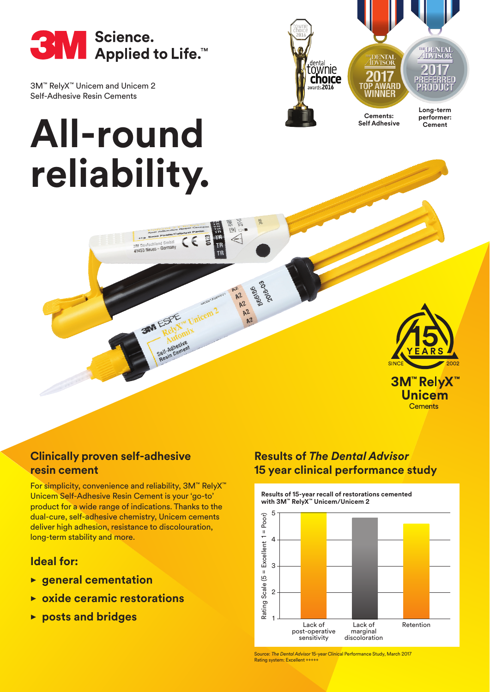

3M™ RelyX™ Unicem and Unicem 2 Self-Adhesive Resin Cements

# **All-round reliability.**

3M Deutschland GmbH<br>41453 Neuss - Germany

**3MM ESPE** 



560156

**Long-term Cements:**

**Self Adhesive**

**performer: Cement**



**3M™ RelyX™ Unicem Cements** 

# **Clinically proven self-adhesive resin cement**

For simplicity, convenience and reliability, 3M™ RelyX™ Unicem Self-Adhesive Resin Cement is your 'go-to' product for a wide range of indications. Thanks to the dual-cure, self-adhesive chemistry, Unicem cements deliver high adhesion, resistance to discolouration, long-term stability and more.

# **Ideal for:**

- **• general cementation**
- **• oxide ceramic restorations**
- **• posts and bridges**

# **Results of** *The Dental Advisor* **15 year clinical performance study**

**Results of 15-year recall of restorations cemented with 3M™ RelyX™ Unicem/Unicem 2**



Source: *The Dental Advisor* 15-year Clinical Performance Study, March 2017 Rating system: Excellent +++++